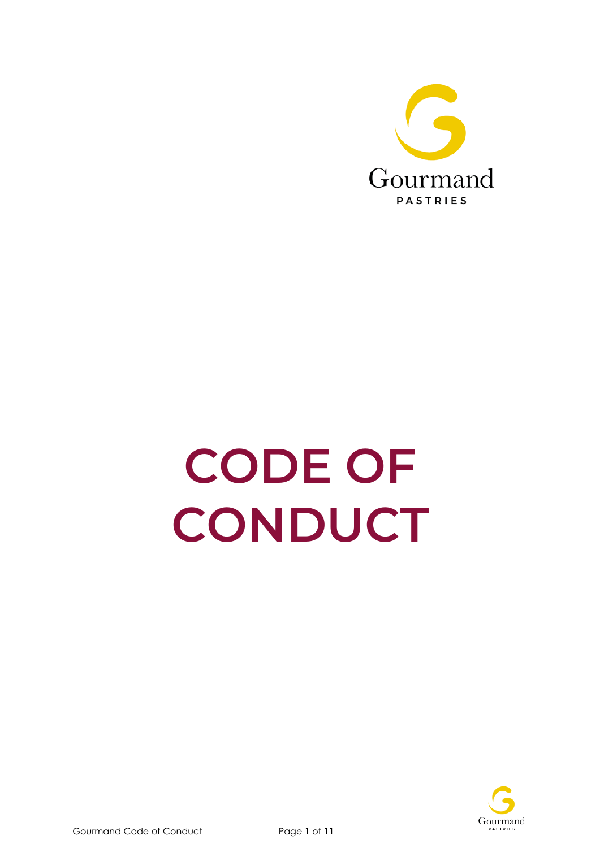

# **CODE OF CONDUCT**

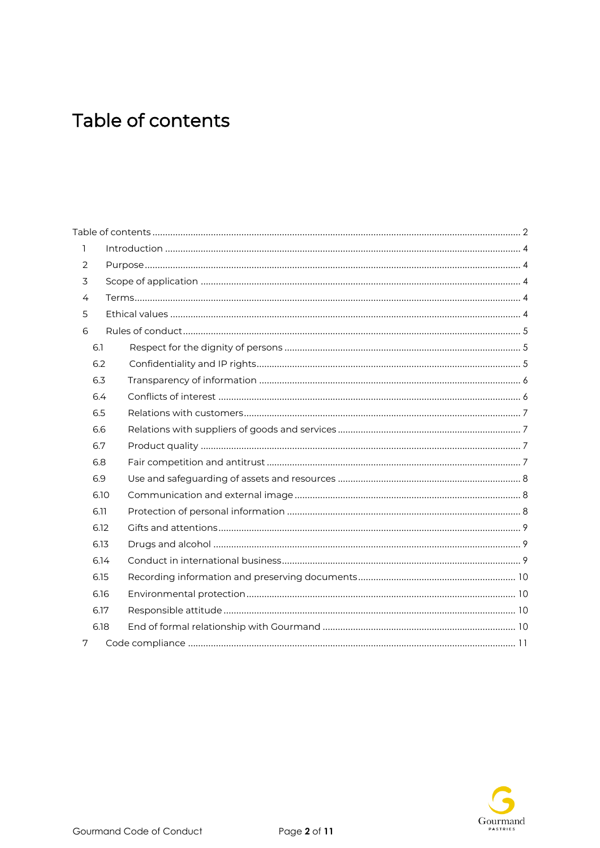## <span id="page-1-0"></span>Table of contents

| 1 |      |  |
|---|------|--|
| 2 |      |  |
| 3 |      |  |
| 4 |      |  |
| 5 |      |  |
| 6 |      |  |
|   | 6.1  |  |
|   | 6.2  |  |
|   | 6.3  |  |
|   | 6.4  |  |
|   | 6.5  |  |
|   | 6.6  |  |
|   |      |  |
|   | 6.7  |  |
|   | 6.8  |  |
|   | 6.9  |  |
|   | 6.10 |  |
|   | 6.11 |  |
|   | 6.12 |  |
|   | 6.13 |  |
|   | 6.14 |  |
|   | 6.15 |  |
|   | 6.16 |  |
|   | 6.17 |  |
|   | 6.18 |  |

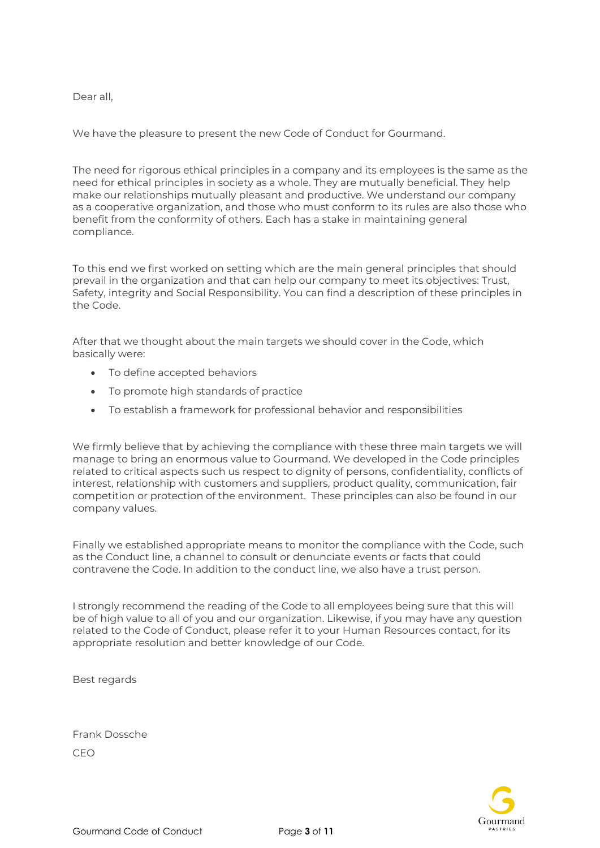Dear all,

We have the pleasure to present the new Code of Conduct for Gourmand.

The need for rigorous ethical principles in a company and its employees is the same as the need for ethical principles in society as a whole. They are mutually beneficial. They help make our relationships mutually pleasant and productive. We understand our company as a cooperative organization, and those who must conform to its rules are also those who benefit from the conformity of others. Each has a stake in maintaining general compliance.

To this end we first worked on setting which are the main general principles that should prevail in the organization and that can help our company to meet its objectives: Trust, Safety, integrity and Social Responsibility. You can find a description of these principles in the Code.

After that we thought about the main targets we should cover in the Code, which basically were:

- To define accepted behaviors
- To promote high standards of practice
- To establish a framework for professional behavior and responsibilities

We firmly believe that by achieving the compliance with these three main targets we will manage to bring an enormous value to Gourmand. We developed in the Code principles related to critical aspects such us respect to dignity of persons, confidentiality, conflicts of interest, relationship with customers and suppliers, product quality, communication, fair competition or protection of the environment. These principles can also be found in our company values.

Finally we established appropriate means to monitor the compliance with the Code, such as the Conduct line, a channel to consult or denunciate events or facts that could contravene the Code. In addition to the conduct line, we also have a trust person.

I strongly recommend the reading of the Code to all employees being sure that this will be of high value to all of you and our organization. Likewise, if you may have any question related to the Code of Conduct, please refer it to your Human Resources contact, for its appropriate resolution and better knowledge of our Code.

Best regards

Frank Dossche CEO

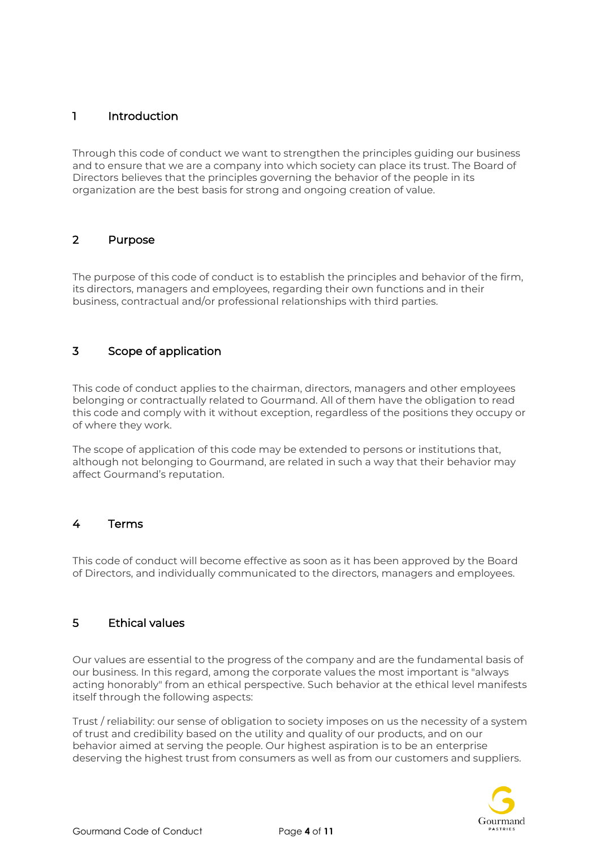#### <span id="page-3-0"></span>1 Introduction

Through this code of conduct we want to strengthen the principles guiding our business and to ensure that we are a company into which society can place its trust. The Board of Directors believes that the principles governing the behavior of the people in its organization are the best basis for strong and ongoing creation of value.

#### <span id="page-3-1"></span>2 Purpose

The purpose of this code of conduct is to establish the principles and behavior of the firm, its directors, managers and employees, regarding their own functions and in their business, contractual and/or professional relationships with third parties.

#### <span id="page-3-2"></span>3 Scope of application

This code of conduct applies to the chairman, directors, managers and other employees belonging or contractually related to Gourmand. All of them have the obligation to read this code and comply with it without exception, regardless of the positions they occupy or of where they work.

The scope of application of this code may be extended to persons or institutions that, although not belonging to Gourmand, are related in such a way that their behavior may affect Gourmand's reputation.

#### <span id="page-3-3"></span>4 Terms

This code of conduct will become effective as soon as it has been approved by the Board of Directors, and individually communicated to the directors, managers and employees.

#### <span id="page-3-4"></span>5 Ethical values

Our values are essential to the progress of the company and are the fundamental basis of our business. In this regard, among the corporate values the most important is "always acting honorably" from an ethical perspective. Such behavior at the ethical level manifests itself through the following aspects:

Trust / reliability: our sense of obligation to society imposes on us the necessity of a system of trust and credibility based on the utility and quality of our products, and on our behavior aimed at serving the people. Our highest aspiration is to be an enterprise deserving the highest trust from consumers as well as from our customers and suppliers.

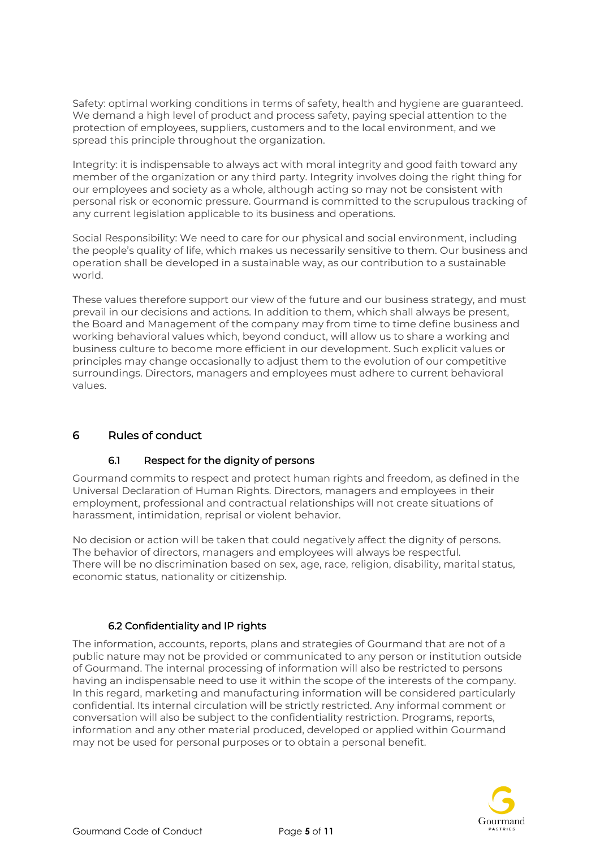Safety: optimal working conditions in terms of safety, health and hygiene are guaranteed. We demand a high level of product and process safety, paying special attention to the protection of employees, suppliers, customers and to the local environment, and we spread this principle throughout the organization.

Integrity: it is indispensable to always act with moral integrity and good faith toward any member of the organization or any third party. Integrity involves doing the right thing for our employees and society as a whole, although acting so may not be consistent with personal risk or economic pressure. Gourmand is committed to the scrupulous tracking of any current legislation applicable to its business and operations.

Social Responsibility: We need to care for our physical and social environment, including the people's quality of life, which makes us necessarily sensitive to them. Our business and operation shall be developed in a sustainable way, as our contribution to a sustainable world.

These values therefore support our view of the future and our business strategy, and must prevail in our decisions and actions. In addition to them, which shall always be present, the Board and Management of the company may from time to time define business and working behavioral values which, beyond conduct, will allow us to share a working and business culture to become more efficient in our development. Such explicit values or principles may change occasionally to adjust them to the evolution of our competitive surroundings. Directors, managers and employees must adhere to current behavioral values.

#### <span id="page-4-0"></span>6 Rules of conduct

#### 6.1 Respect for the dignity of persons

<span id="page-4-1"></span>Gourmand commits to respect and protect human rights and freedom, as defined in the Universal Declaration of Human Rights. Directors, managers and employees in their employment, professional and contractual relationships will not create situations of harassment, intimidation, reprisal or violent behavior.

No decision or action will be taken that could negatively affect the dignity of persons. The behavior of directors, managers and employees will always be respectful. There will be no discrimination based on sex, age, race, religion, disability, marital status, economic status, nationality or citizenship.

#### 6.2 Confidentiality and IP rights

<span id="page-4-2"></span>The information, accounts, reports, plans and strategies of Gourmand that are not of a public nature may not be provided or communicated to any person or institution outside of Gourmand. The internal processing of information will also be restricted to persons having an indispensable need to use it within the scope of the interests of the company. In this regard, marketing and manufacturing information will be considered particularly confidential. Its internal circulation will be strictly restricted. Any informal comment or conversation will also be subject to the confidentiality restriction. Programs, reports, information and any other material produced, developed or applied within Gourmand may not be used for personal purposes or to obtain a personal benefit.

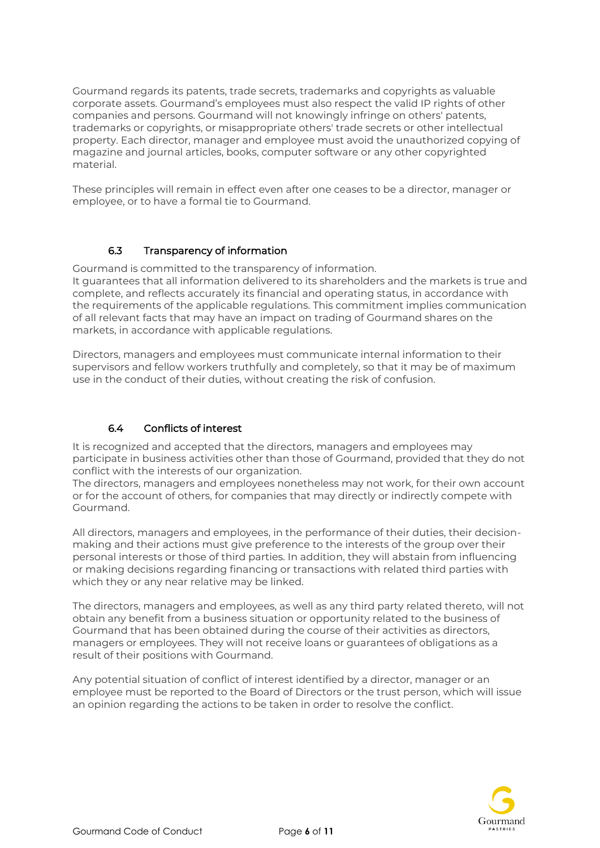Gourmand regards its patents, trade secrets, trademarks and copyrights as valuable corporate assets. Gourmand's employees must also respect the valid IP rights of other companies and persons. Gourmand will not knowingly infringe on others' patents, trademarks or copyrights, or misappropriate others' trade secrets or other intellectual property. Each director, manager and employee must avoid the unauthorized copying of magazine and journal articles, books, computer software or any other copyrighted material.

These principles will remain in effect even after one ceases to be a director, manager or employee, or to have a formal tie to Gourmand.

#### 6.3 Transparency of information

<span id="page-5-0"></span>Gourmand is committed to the transparency of information. It guarantees that all information delivered to its shareholders and the markets is true and complete, and reflects accurately its financial and operating status, in accordance with the requirements of the applicable regulations. This commitment implies communication of all relevant facts that may have an impact on trading of Gourmand shares on the markets, in accordance with applicable regulations.

Directors, managers and employees must communicate internal information to their supervisors and fellow workers truthfully and completely, so that it may be of maximum use in the conduct of their duties, without creating the risk of confusion.

#### 6.4 Conflicts of interest

<span id="page-5-1"></span>It is recognized and accepted that the directors, managers and employees may participate in business activities other than those of Gourmand, provided that they do not conflict with the interests of our organization.

The directors, managers and employees nonetheless may not work, for their own account or for the account of others, for companies that may directly or indirectly compete with Gourmand.

All directors, managers and employees, in the performance of their duties, their decisionmaking and their actions must give preference to the interests of the group over their personal interests or those of third parties. In addition, they will abstain from influencing or making decisions regarding financing or transactions with related third parties with which they or any near relative may be linked.

The directors, managers and employees, as well as any third party related thereto, will not obtain any benefit from a business situation or opportunity related to the business of Gourmand that has been obtained during the course of their activities as directors, managers or employees. They will not receive loans or guarantees of obligations as a result of their positions with Gourmand.

Any potential situation of conflict of interest identified by a director, manager or an employee must be reported to the Board of Directors or the trust person, which will issue an opinion regarding the actions to be taken in order to resolve the conflict.

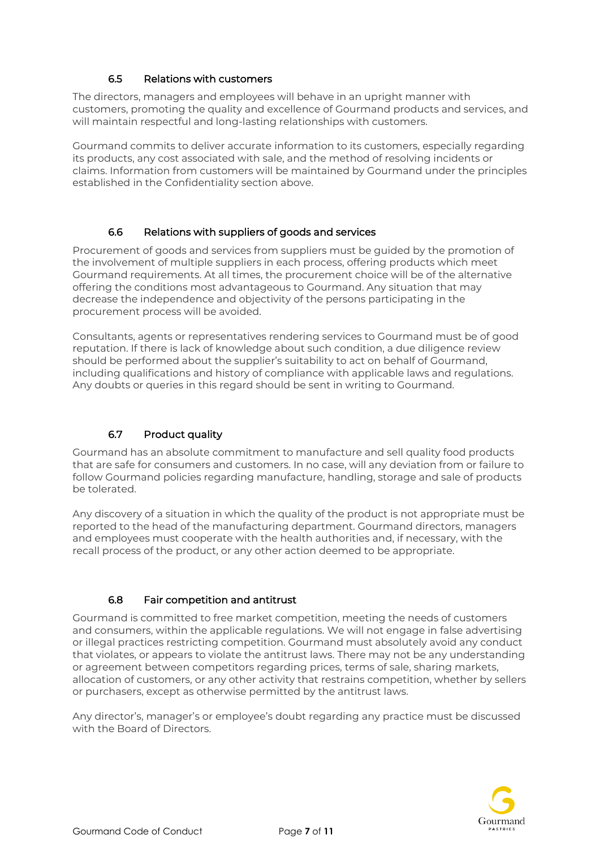#### 6.5 Relations with customers

<span id="page-6-0"></span>The directors, managers and employees will behave in an upright manner with customers, promoting the quality and excellence of Gourmand products and services, and will maintain respectful and long-lasting relationships with customers.

Gourmand commits to deliver accurate information to its customers, especially regarding its products, any cost associated with sale, and the method of resolving incidents or claims. Information from customers will be maintained by Gourmand under the principles established in the Confidentiality section above.

#### 6.6 Relations with suppliers of goods and services

<span id="page-6-1"></span>Procurement of goods and services from suppliers must be guided by the promotion of the involvement of multiple suppliers in each process, offering products which meet Gourmand requirements. At all times, the procurement choice will be of the alternative offering the conditions most advantageous to Gourmand. Any situation that may decrease the independence and objectivity of the persons participating in the procurement process will be avoided.

Consultants, agents or representatives rendering services to Gourmand must be of good reputation. If there is lack of knowledge about such condition, a due diligence review should be performed about the supplier's suitability to act on behalf of Gourmand, including qualifications and history of compliance with applicable laws and regulations. Any doubts or queries in this regard should be sent in writing to Gourmand.

#### 6.7 Product quality

<span id="page-6-2"></span>Gourmand has an absolute commitment to manufacture and sell quality food products that are safe for consumers and customers. In no case, will any deviation from or failure to follow Gourmand policies regarding manufacture, handling, storage and sale of products be tolerated.

Any discovery of a situation in which the quality of the product is not appropriate must be reported to the head of the manufacturing department. Gourmand directors, managers and employees must cooperate with the health authorities and, if necessary, with the recall process of the product, or any other action deemed to be appropriate.

#### 6.8 Fair competition and antitrust

<span id="page-6-3"></span>Gourmand is committed to free market competition, meeting the needs of customers and consumers, within the applicable regulations. We will not engage in false advertising or illegal practices restricting competition. Gourmand must absolutely avoid any conduct that violates, or appears to violate the antitrust laws. There may not be any understanding or agreement between competitors regarding prices, terms of sale, sharing markets, allocation of customers, or any other activity that restrains competition, whether by sellers or purchasers, except as otherwise permitted by the antitrust laws.

Any director's, manager's or employee's doubt regarding any practice must be discussed with the Board of Directors.

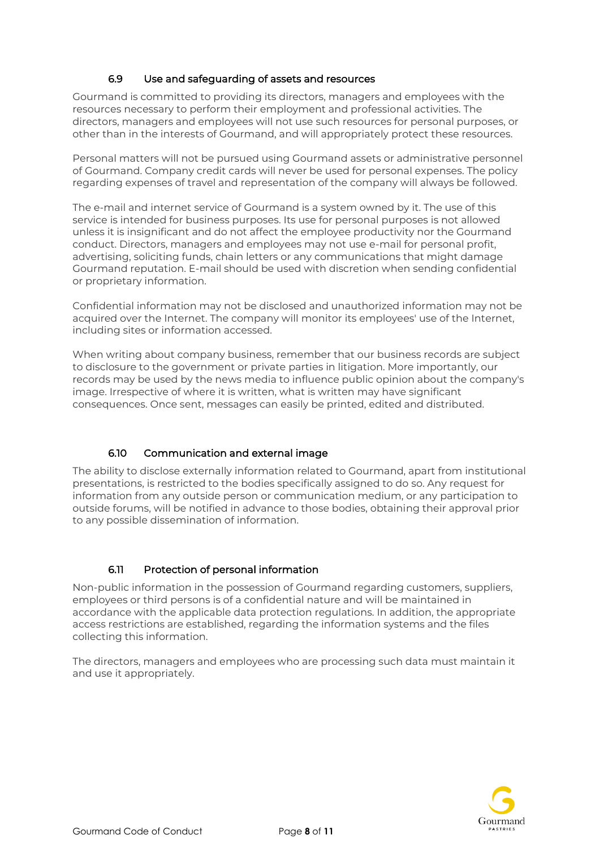#### 6.9 Use and safeguarding of assets and resources

<span id="page-7-0"></span>Gourmand is committed to providing its directors, managers and employees with the resources necessary to perform their employment and professional activities. The directors, managers and employees will not use such resources for personal purposes, or other than in the interests of Gourmand, and will appropriately protect these resources.

Personal matters will not be pursued using Gourmand assets or administrative personnel of Gourmand. Company credit cards will never be used for personal expenses. The policy regarding expenses of travel and representation of the company will always be followed.

The e-mail and internet service of Gourmand is a system owned by it. The use of this service is intended for business purposes. Its use for personal purposes is not allowed unless it is insignificant and do not affect the employee productivity nor the Gourmand conduct. Directors, managers and employees may not use e-mail for personal profit, advertising, soliciting funds, chain letters or any communications that might damage Gourmand reputation. E-mail should be used with discretion when sending confidential or proprietary information.

Confidential information may not be disclosed and unauthorized information may not be acquired over the Internet. The company will monitor its employees' use of the Internet, including sites or information accessed.

When writing about company business, remember that our business records are subject to disclosure to the government or private parties in litigation. More importantly, our records may be used by the news media to influence public opinion about the company's image. Irrespective of where it is written, what is written may have significant consequences. Once sent, messages can easily be printed, edited and distributed.

#### 6.10 Communication and external image

<span id="page-7-1"></span>The ability to disclose externally information related to Gourmand, apart from institutional presentations, is restricted to the bodies specifically assigned to do so. Any request for information from any outside person or communication medium, or any participation to outside forums, will be notified in advance to those bodies, obtaining their approval prior to any possible dissemination of information.

#### 6.11 Protection of personal information

<span id="page-7-2"></span>Non-public information in the possession of Gourmand regarding customers, suppliers, employees or third persons is of a confidential nature and will be maintained in accordance with the applicable data protection regulations. In addition, the appropriate access restrictions are established, regarding the information systems and the files collecting this information.

The directors, managers and employees who are processing such data must maintain it and use it appropriately.

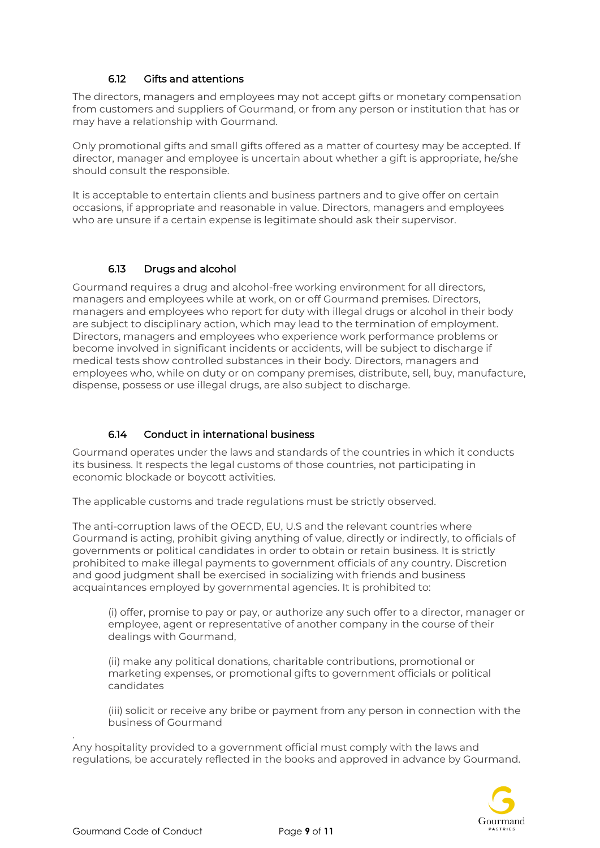#### 6.12 Gifts and attentions

<span id="page-8-0"></span>The directors, managers and employees may not accept gifts or monetary compensation from customers and suppliers of Gourmand, or from any person or institution that has or may have a relationship with Gourmand.

Only promotional gifts and small gifts offered as a matter of courtesy may be accepted. If director, manager and employee is uncertain about whether a gift is appropriate, he/she should consult the responsible.

It is acceptable to entertain clients and business partners and to give offer on certain occasions, if appropriate and reasonable in value. Directors, managers and employees who are unsure if a certain expense is legitimate should ask their supervisor.

#### 6.13 Drugs and alcohol

<span id="page-8-1"></span>Gourmand requires a drug and alcohol-free working environment for all directors, managers and employees while at work, on or off Gourmand premises. Directors, managers and employees who report for duty with illegal drugs or alcohol in their body are subject to disciplinary action, which may lead to the termination of employment. Directors, managers and employees who experience work performance problems or become involved in significant incidents or accidents, will be subject to discharge if medical tests show controlled substances in their body. Directors, managers and employees who, while on duty or on company premises, distribute, sell, buy, manufacture, dispense, possess or use illegal drugs, are also subject to discharge.

#### 6.14 Conduct in international business

<span id="page-8-2"></span>Gourmand operates under the laws and standards of the countries in which it conducts its business. It respects the legal customs of those countries, not participating in economic blockade or boycott activities.

The applicable customs and trade regulations must be strictly observed.

The anti-corruption laws of the OECD, EU, U.S and the relevant countries where Gourmand is acting, prohibit giving anything of value, directly or indirectly, to officials of governments or political candidates in order to obtain or retain business. It is strictly prohibited to make illegal payments to government officials of any country. Discretion and good judgment shall be exercised in socializing with friends and business acquaintances employed by governmental agencies. It is prohibited to:

(i) offer, promise to pay or pay, or authorize any such offer to a director, manager or employee, agent or representative of another company in the course of their dealings with Gourmand,

(ii) make any political donations, charitable contributions, promotional or marketing expenses, or promotional gifts to government officials or political candidates

(iii) solicit or receive any bribe or payment from any person in connection with the business of Gourmand

Any hospitality provided to a government official must comply with the laws and regulations, be accurately reflected in the books and approved in advance by Gourmand.



.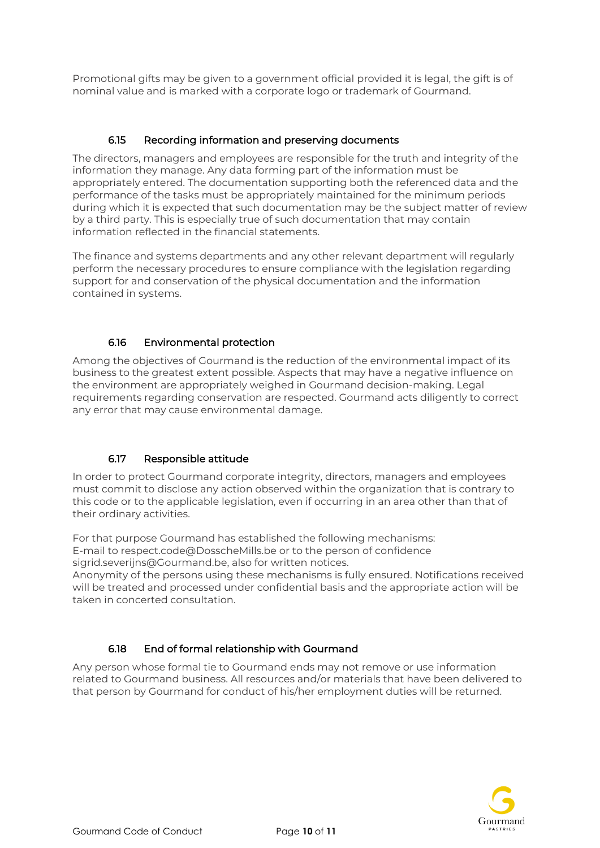Promotional gifts may be given to a government official provided it is legal, the gift is of nominal value and is marked with a corporate logo or trademark of Gourmand.

#### 6.15 Recording information and preserving documents

<span id="page-9-0"></span>The directors, managers and employees are responsible for the truth and integrity of the information they manage. Any data forming part of the information must be appropriately entered. The documentation supporting both the referenced data and the performance of the tasks must be appropriately maintained for the minimum periods during which it is expected that such documentation may be the subject matter of review by a third party. This is especially true of such documentation that may contain information reflected in the financial statements.

The finance and systems departments and any other relevant department will regularly perform the necessary procedures to ensure compliance with the legislation regarding support for and conservation of the physical documentation and the information contained in systems.

#### 6.16 Environmental protection

<span id="page-9-1"></span>Among the objectives of Gourmand is the reduction of the environmental impact of its business to the greatest extent possible. Aspects that may have a negative influence on the environment are appropriately weighed in Gourmand decision-making. Legal requirements regarding conservation are respected. Gourmand acts diligently to correct any error that may cause environmental damage.

#### 6.17 Responsible attitude

<span id="page-9-2"></span>In order to protect Gourmand corporate integrity, directors, managers and employees must commit to disclose any action observed within the organization that is contrary to this code or to the applicable legislation, even if occurring in an area other than that of their ordinary activities.

For that purpose Gourmand has established the following mechanisms: E-mail to respect.code@DosscheMills.be or to the person of confidence sigrid.severijns@Gourmand.be, also for written notices.

Anonymity of the persons using these mechanisms is fully ensured. Notifications received will be treated and processed under confidential basis and the appropriate action will be taken in concerted consultation.

#### 6.18 End of formal relationship with Gourmand

<span id="page-9-3"></span>Any person whose formal tie to Gourmand ends may not remove or use information related to Gourmand business. All resources and/or materials that have been delivered to that person by Gourmand for conduct of his/her employment duties will be returned.